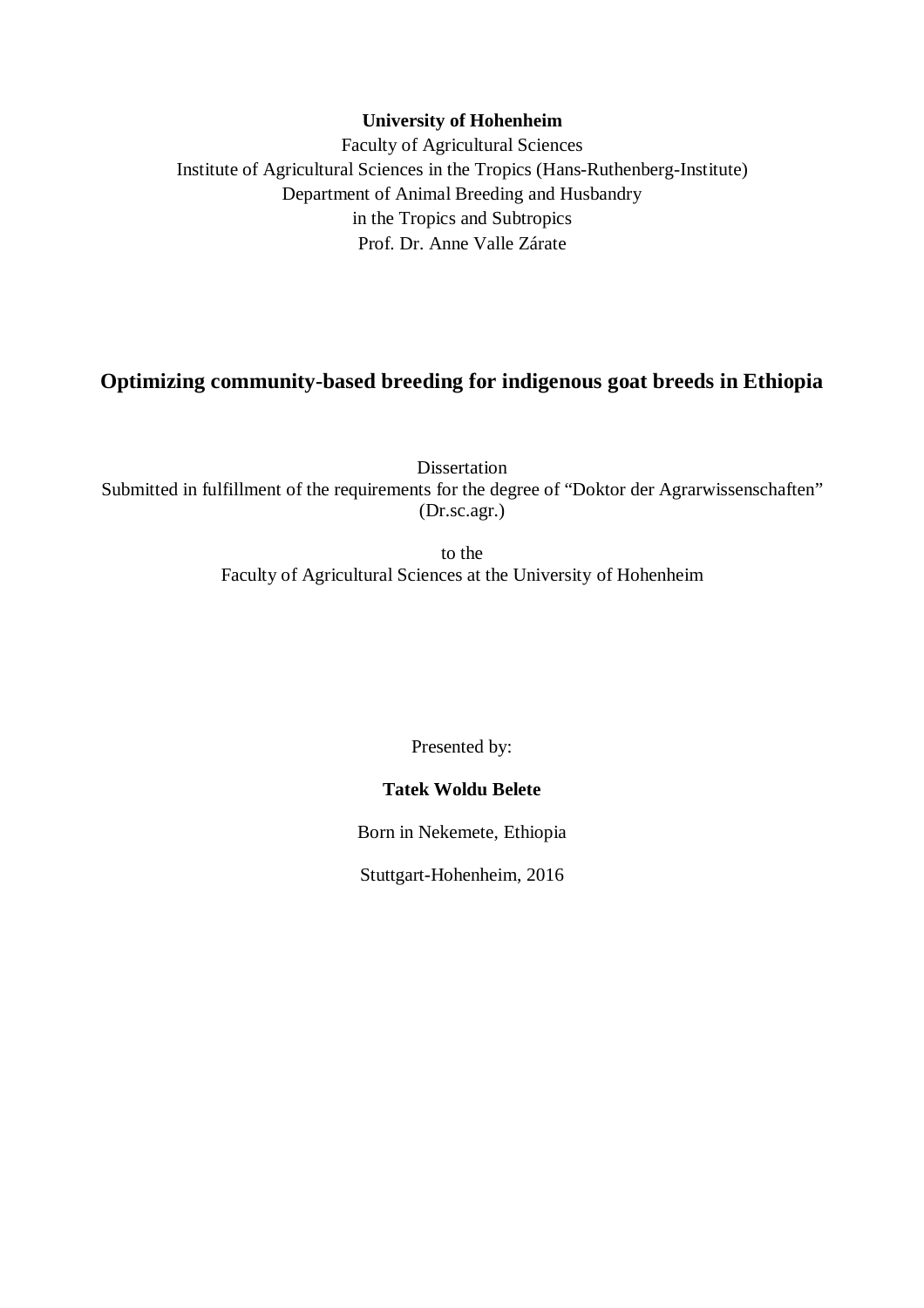# **University of Hohenheim**

Faculty of Agricultural Sciences Institute of Agricultural Sciences in the Tropics (Hans-Ruthenberg-Institute) Department of Animal Breeding and Husbandry in the Tropics and Subtropics Prof. Dr. Anne Valle Zárate

# **Optimizing community-based breeding for indigenous goat breeds in Ethiopia**

Dissertation Submitted in fulfillment of the requirements for the degree of "Doktor der Agrarwissenschaften" (Dr.sc.agr.)

> to the Faculty of Agricultural Sciences at the University of Hohenheim

> > Presented by:

# **Tatek Woldu Belete**

Born in Nekemete, Ethiopia

Stuttgart-Hohenheim, 2016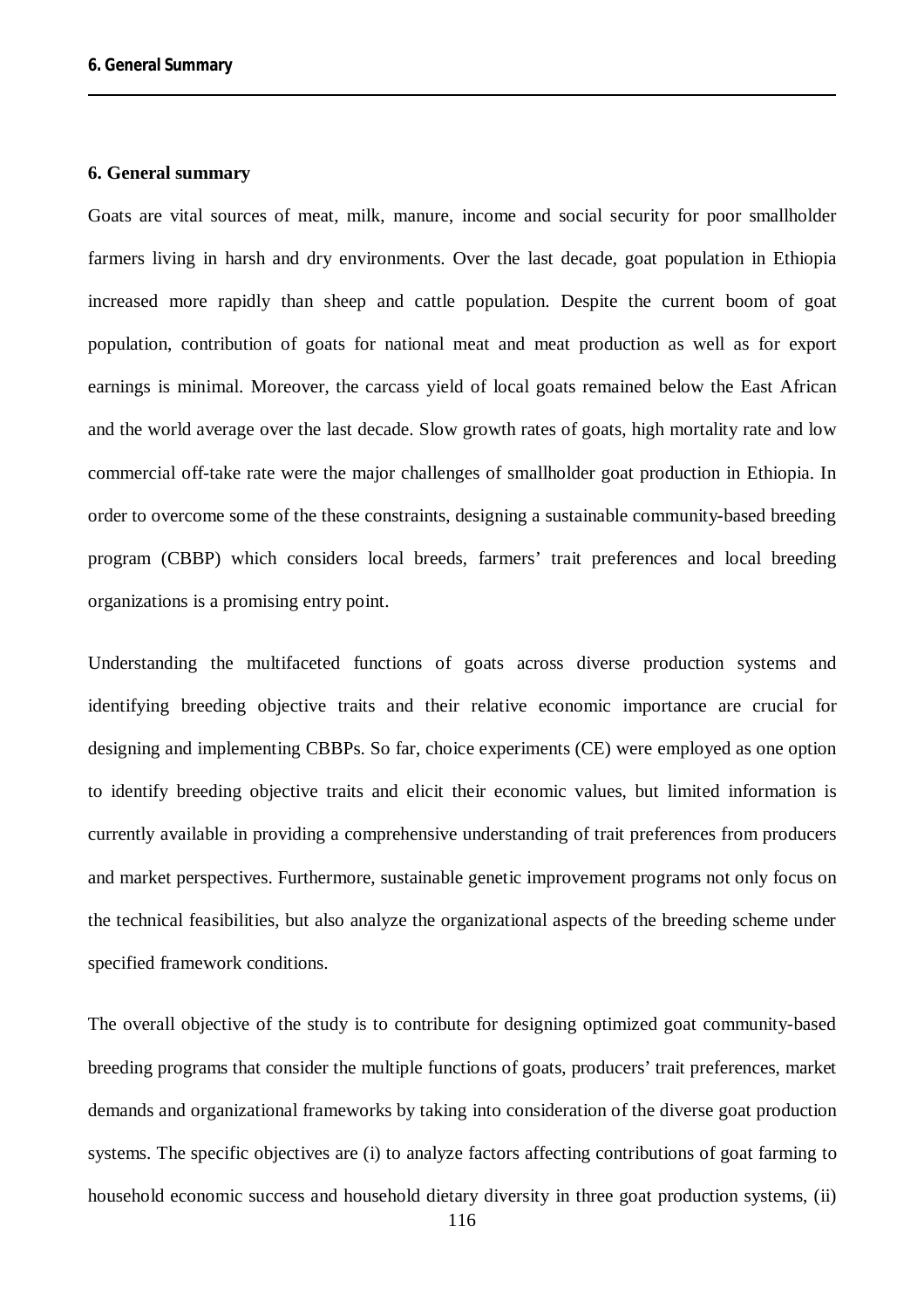### **6. General summary**

Goats are vital sources of meat, milk, manure, income and social security for poor smallholder farmers living in harsh and dry environments. Over the last decade, goat population in Ethiopia increased more rapidly than sheep and cattle population. Despite the current boom of goat population, contribution of goats for national meat and meat production as well as for export earnings is minimal. Moreover, the carcass yield of local goats remained below the East African and the world average over the last decade. Slow growth rates of goats, high mortality rate and low commercial off-take rate were the major challenges of smallholder goat production in Ethiopia. In order to overcome some of the these constraints, designing a sustainable community-based breeding program (CBBP) which considers local breeds, farmers' trait preferences and local breeding organizations is a promising entry point.

Understanding the multifaceted functions of goats across diverse production systems and identifying breeding objective traits and their relative economic importance are crucial for designing and implementing CBBPs. So far, choice experiments (CE) were employed as one option to identify breeding objective traits and elicit their economic values, but limited information is currently available in providing a comprehensive understanding of trait preferences from producers and market perspectives. Furthermore, sustainable genetic improvement programs not only focus on the technical feasibilities, but also analyze the organizational aspects of the breeding scheme under specified framework conditions.

The overall objective of the study is to contribute for designing optimized goat community-based breeding programs that consider the multiple functions of goats, producers' trait preferences, market demands and organizational frameworks by taking into consideration of the diverse goat production systems. The specific objectives are (i) to analyze factors affecting contributions of goat farming to household economic success and household dietary diversity in three goat production systems, (ii)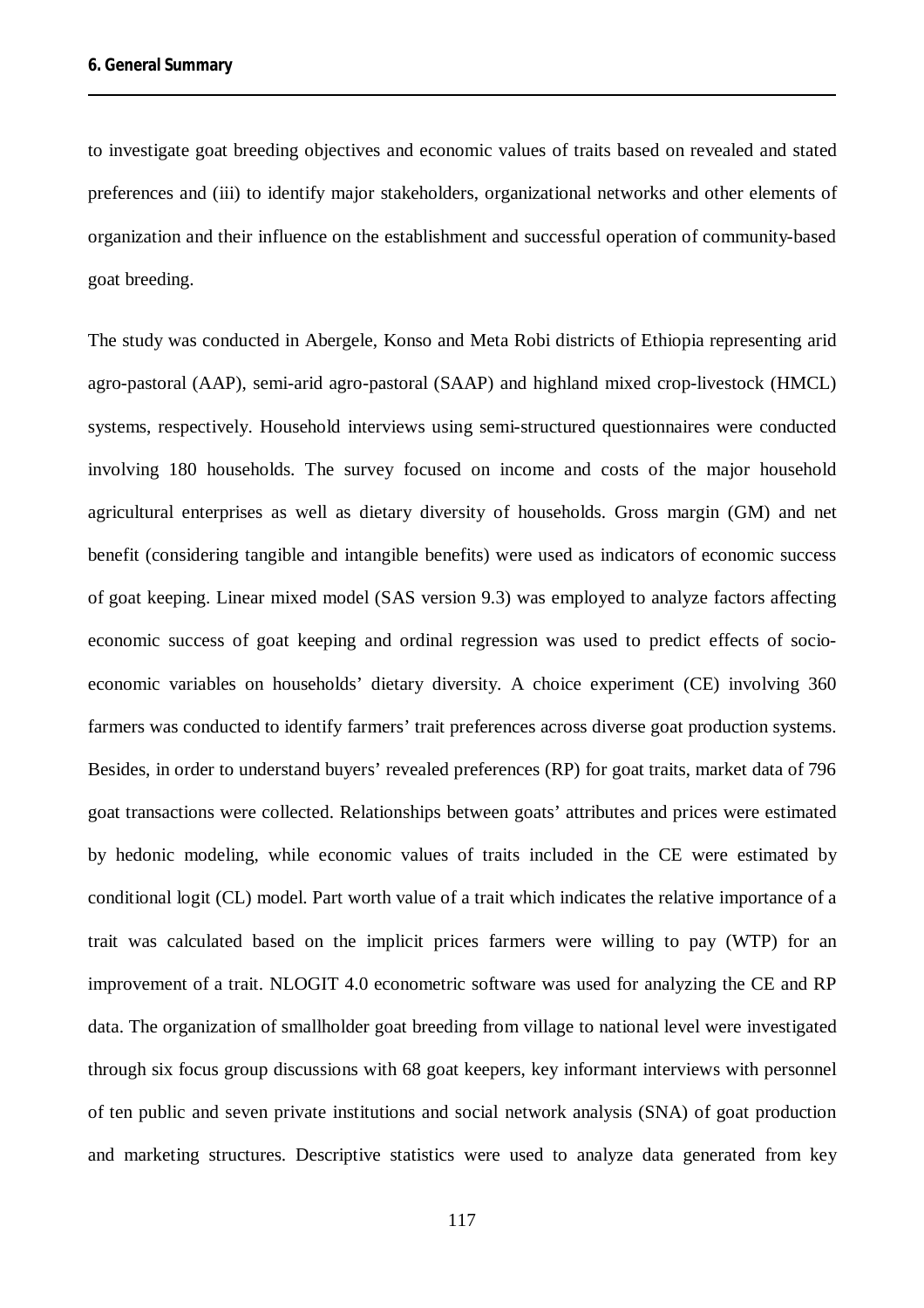to investigate goat breeding objectives and economic values of traits based on revealed and stated preferences and (iii) to identify major stakeholders, organizational networks and other elements of organization and their influence on the establishment and successful operation of community-based goat breeding.

The study was conducted in Abergele, Konso and Meta Robi districts of Ethiopia representing arid agro-pastoral (AAP), semi-arid agro-pastoral (SAAP) and highland mixed crop-livestock (HMCL) systems, respectively. Household interviews using semi-structured questionnaires were conducted involving 180 households. The survey focused on income and costs of the major household agricultural enterprises as well as dietary diversity of households. Gross margin (GM) and net benefit (considering tangible and intangible benefits) were used as indicators of economic success of goat keeping. Linear mixed model (SAS version 9.3) was employed to analyze factors affecting economic success of goat keeping and ordinal regression was used to predict effects of socioeconomic variables on households' dietary diversity. A choice experiment (CE) involving 360 farmers was conducted to identify farmers' trait preferences across diverse goat production systems. Besides, in order to understand buyers' revealed preferences (RP) for goat traits, market data of 796 goat transactions were collected. Relationships between goats' attributes and prices were estimated by hedonic modeling, while economic values of traits included in the CE were estimated by conditional logit (CL) model. Part worth value of a trait which indicates the relative importance of a trait was calculated based on the implicit prices farmers were willing to pay (WTP) for an improvement of a trait. NLOGIT 4.0 econometric software was used for analyzing the CE and RP data. The organization of smallholder goat breeding from village to national level were investigated through six focus group discussions with 68 goat keepers, key informant interviews with personnel of ten public and seven private institutions and social network analysis (SNA) of goat production and marketing structures. Descriptive statistics were used to analyze data generated from key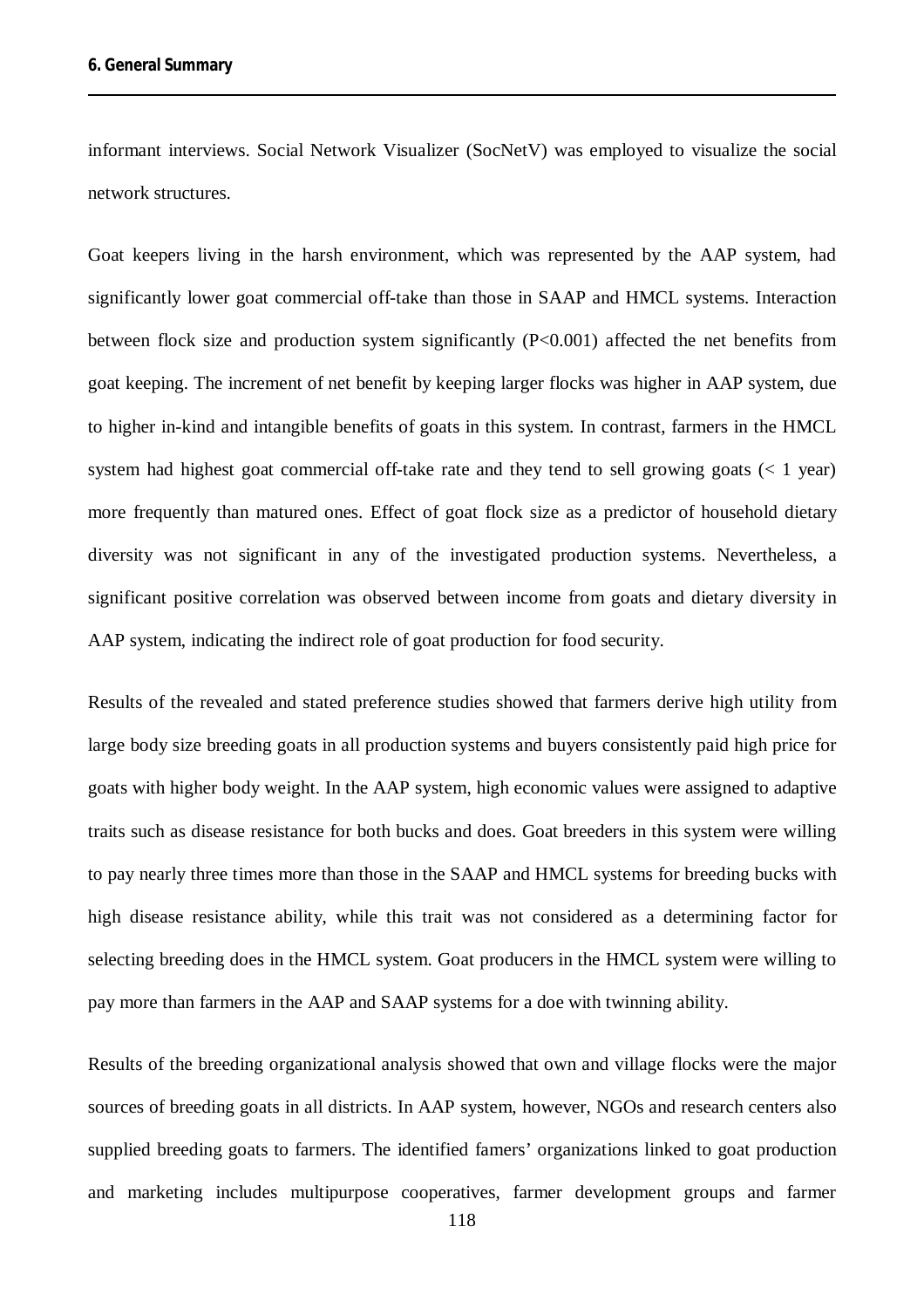informant interviews. Social Network Visualizer (SocNetV) was employed to visualize the social network structures.

Goat keepers living in the harsh environment, which was represented by the AAP system, had significantly lower goat commercial off-take than those in SAAP and HMCL systems. Interaction between flock size and production system significantly (P<0.001) affected the net benefits from goat keeping. The increment of net benefit by keeping larger flocks was higher in AAP system, due to higher in-kind and intangible benefits of goats in this system. In contrast, farmers in the HMCL system had highest goat commercial off-take rate and they tend to sell growing goats  $(< 1$  year) more frequently than matured ones. Effect of goat flock size as a predictor of household dietary diversity was not significant in any of the investigated production systems. Nevertheless, a significant positive correlation was observed between income from goats and dietary diversity in AAP system, indicating the indirect role of goat production for food security.

Results of the revealed and stated preference studies showed that farmers derive high utility from large body size breeding goats in all production systems and buyers consistently paid high price for goats with higher body weight. In the AAP system, high economic values were assigned to adaptive traits such as disease resistance for both bucks and does. Goat breeders in this system were willing to pay nearly three times more than those in the SAAP and HMCL systems for breeding bucks with high disease resistance ability, while this trait was not considered as a determining factor for selecting breeding does in the HMCL system. Goat producers in the HMCL system were willing to pay more than farmers in the AAP and SAAP systems for a doe with twinning ability.

Results of the breeding organizational analysis showed that own and village flocks were the major sources of breeding goats in all districts. In AAP system, however, NGOs and research centers also supplied breeding goats to farmers. The identified famers' organizations linked to goat production and marketing includes multipurpose cooperatives, farmer development groups and farmer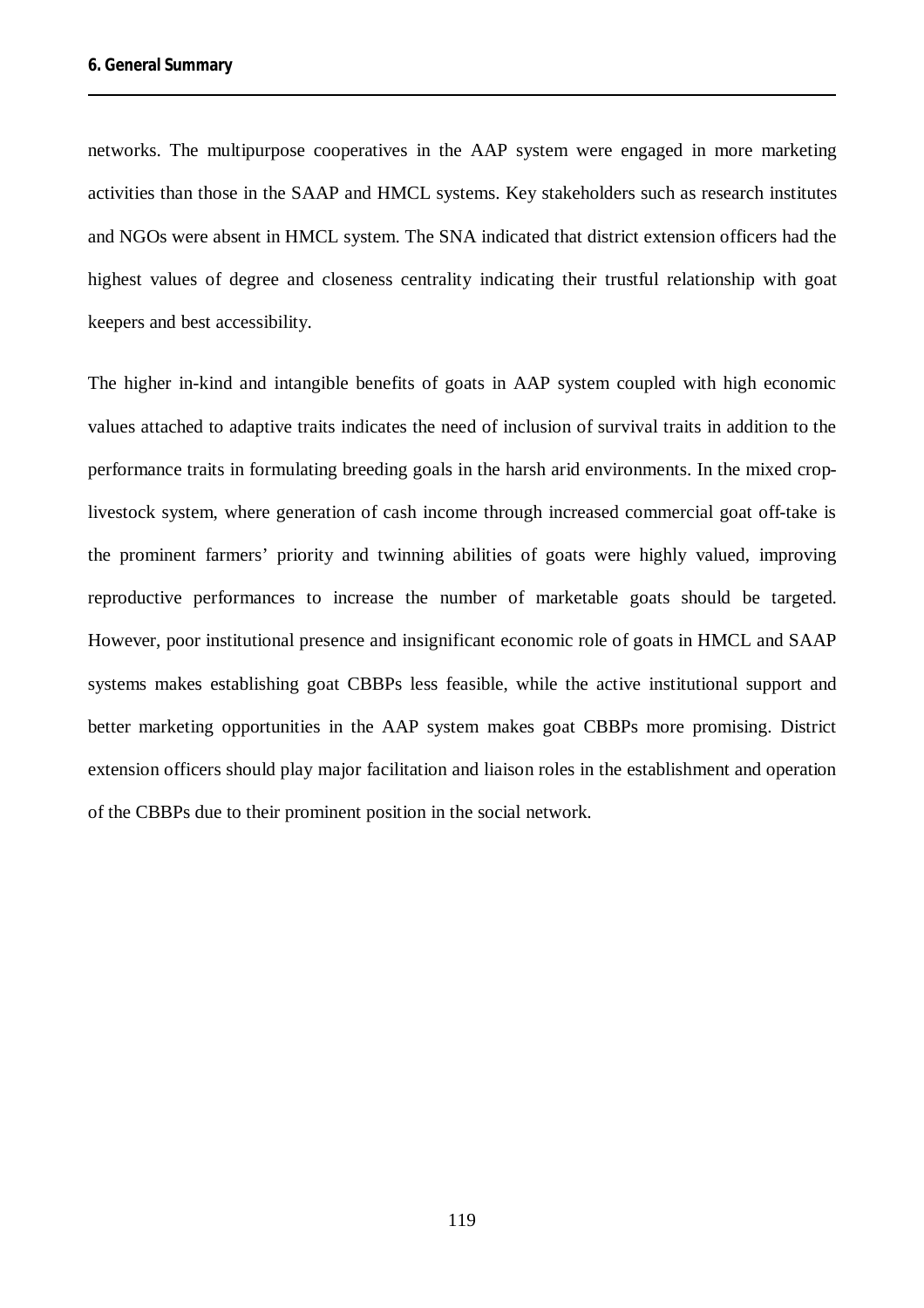networks. The multipurpose cooperatives in the AAP system were engaged in more marketing activities than those in the SAAP and HMCL systems. Key stakeholders such as research institutes and NGOs were absent in HMCL system. The SNA indicated that district extension officers had the highest values of degree and closeness centrality indicating their trustful relationship with goat keepers and best accessibility.

The higher in-kind and intangible benefits of goats in AAP system coupled with high economic values attached to adaptive traits indicates the need of inclusion of survival traits in addition to the performance traits in formulating breeding goals in the harsh arid environments. In the mixed croplivestock system, where generation of cash income through increased commercial goat off-take is the prominent farmers' priority and twinning abilities of goats were highly valued, improving reproductive performances to increase the number of marketable goats should be targeted. However, poor institutional presence and insignificant economic role of goats in HMCL and SAAP systems makes establishing goat CBBPs less feasible, while the active institutional support and better marketing opportunities in the AAP system makes goat CBBPs more promising. District extension officers should play major facilitation and liaison roles in the establishment and operation of the CBBPs due to their prominent position in the social network.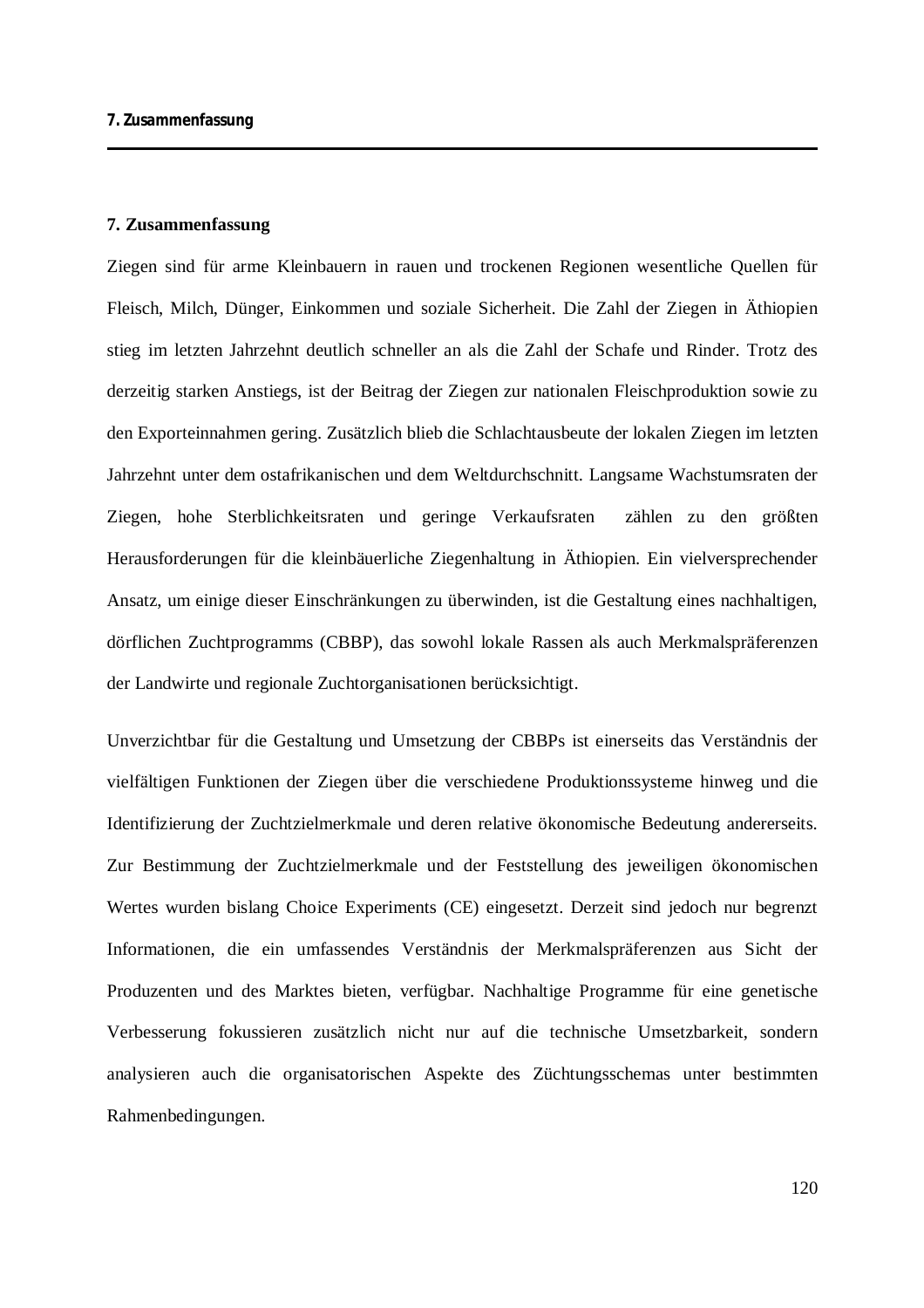Ziegen sind für arme Kleinbauern in rauen und trockenen Regionen wesentliche Quellen für Fleisch, Milch, Dünger, Einkommen und soziale Sicherheit. Die Zahl der Ziegen in Äthiopien stieg im letzten Jahrzehnt deutlich schneller an als die Zahl der Schafe und Rinder. Trotz des derzeitig starken Anstiegs, ist der Beitrag der Ziegen zur nationalen Fleischproduktion sowie zu den Exporteinnahmen gering. Zusätzlich blieb die Schlachtausbeute der lokalen Ziegen im letzten Jahrzehnt unter dem ostafrikanischen und dem Weltdurchschnitt. Langsame Wachstumsraten der Ziegen, hohe Sterblichkeitsraten und geringe Verkaufsraten zählen zu den größten Herausforderungen für die kleinbäuerliche Ziegenhaltung in Äthiopien. Ein vielversprechender Ansatz, um einige dieser Einschränkungen zu überwinden, ist die Gestaltung eines nachhaltigen, dörflichen Zuchtprogramms (CBBP), das sowohl lokale Rassen als auch Merkmalspräferenzen der Landwirte und regionale Zuchtorganisationen berücksichtigt.

Unverzichtbar für die Gestaltung und Umsetzung der CBBPs ist einerseits das Verständnis der vielfältigen Funktionen der Ziegen über die verschiedene Produktionssysteme hinweg und die Identifizierung der Zuchtzielmerkmale und deren relative ökonomische Bedeutung andererseits. Zur Bestimmung der Zuchtzielmerkmale und der Feststellung des jeweiligen ökonomischen Wertes wurden bislang Choice Experiments (CE) eingesetzt. Derzeit sind jedoch nur begrenzt Informationen, die ein umfassendes Verständnis der Merkmalspräferenzen aus Sicht der Produzenten und des Marktes bieten, verfügbar. Nachhaltige Programme für eine genetische Verbesserung fokussieren zusätzlich nicht nur auf die technische Umsetzbarkeit, sondern analysieren auch die organisatorischen Aspekte des Züchtungsschemas unter bestimmten Rahmenbedingungen.

120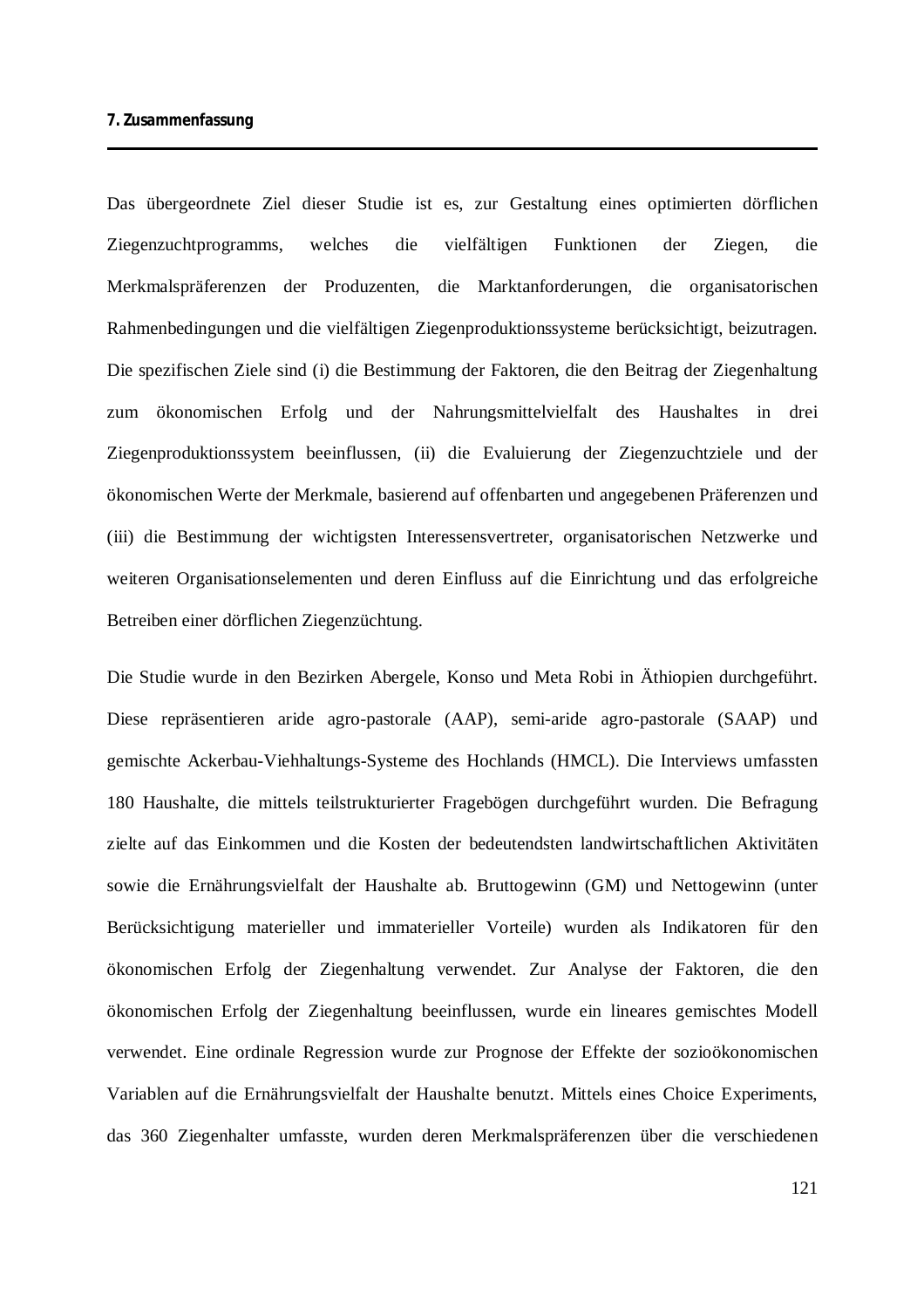Das übergeordnete Ziel dieser Studie ist es, zur Gestaltung eines optimierten dörflichen Ziegenzuchtprogramms, welches die vielfältigen Funktionen der Ziegen, die Merkmalspräferenzen der Produzenten, die Marktanforderungen, die organisatorischen Rahmenbedingungen und die vielfältigen Ziegenproduktionssysteme berücksichtigt, beizutragen. Die spezifischen Ziele sind (i) die Bestimmung der Faktoren, die den Beitrag der Ziegenhaltung zum ökonomischen Erfolg und der Nahrungsmittelvielfalt des Haushaltes in drei Ziegenproduktionssystem beeinflussen, (ii) die Evaluierung der Ziegenzuchtziele und der ökonomischen Werte der Merkmale, basierend auf offenbarten und angegebenen Präferenzen und (iii) die Bestimmung der wichtigsten Interessensvertreter, organisatorischen Netzwerke und weiteren Organisationselementen und deren Einfluss auf die Einrichtung und das erfolgreiche Betreiben einer dörflichen Ziegenzüchtung.

Die Studie wurde in den Bezirken Abergele, Konso und Meta Robi in Äthiopien durchgeführt. Diese repräsentieren aride agro-pastorale (AAP), semi-aride agro-pastorale (SAAP) und gemischte Ackerbau-Viehhaltungs-Systeme des Hochlands (HMCL). Die Interviews umfassten 180 Haushalte, die mittels teilstrukturierter Fragebögen durchgeführt wurden. Die Befragung zielte auf das Einkommen und die Kosten der bedeutendsten landwirtschaftlichen Aktivitäten sowie die Ernährungsvielfalt der Haushalte ab. Bruttogewinn (GM) und Nettogewinn (unter Berücksichtigung materieller und immaterieller Vorteile) wurden als Indikatoren für den ökonomischen Erfolg der Ziegenhaltung verwendet. Zur Analyse der Faktoren, die den ökonomischen Erfolg der Ziegenhaltung beeinflussen, wurde ein lineares gemischtes Modell verwendet. Eine ordinale Regression wurde zur Prognose der Effekte der sozioökonomischen Variablen auf die Ernährungsvielfalt der Haushalte benutzt. Mittels eines Choice Experiments, das 360 Ziegenhalter umfasste, wurden deren Merkmalspräferenzen über die verschiedenen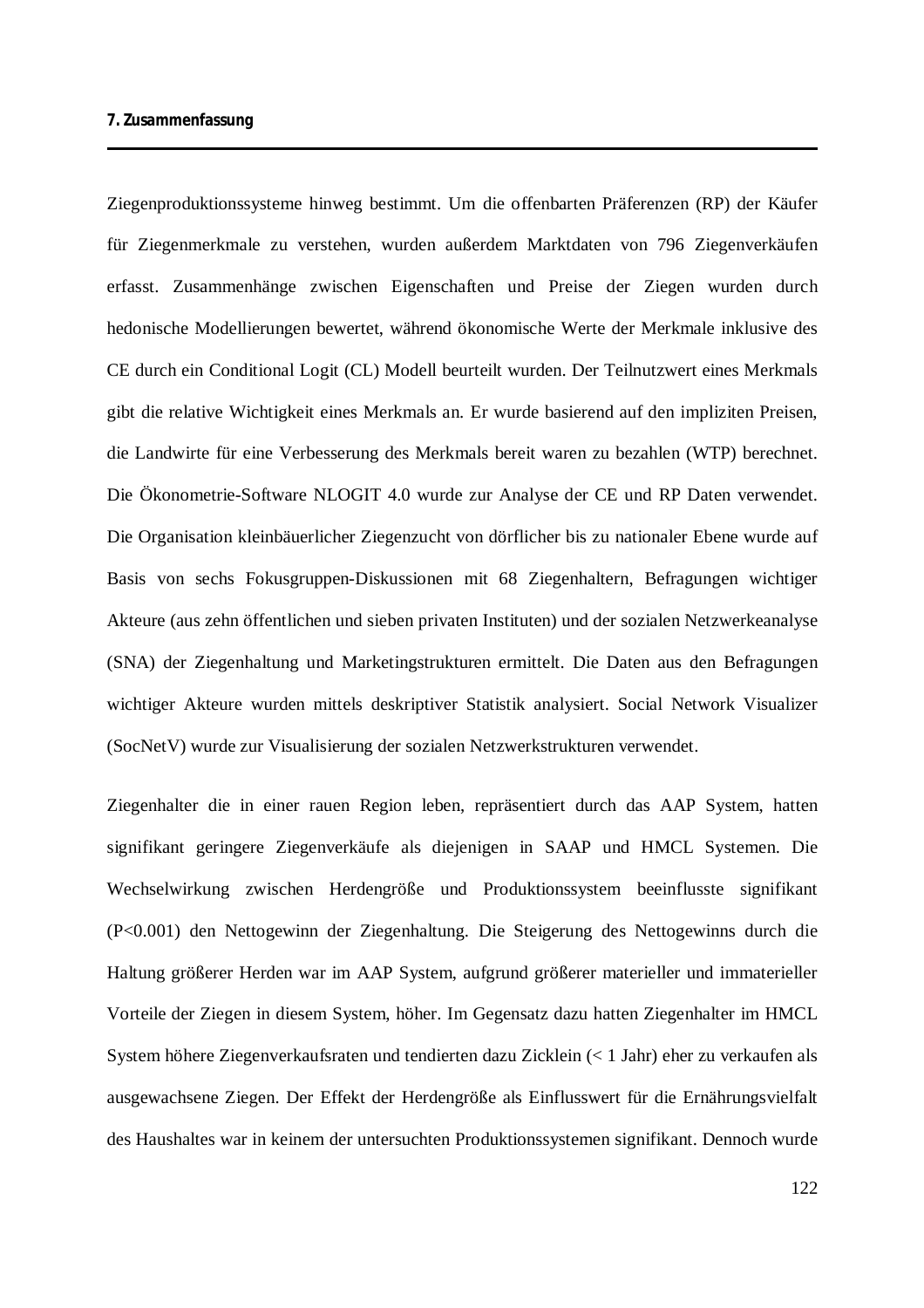Ziegenproduktionssysteme hinweg bestimmt. Um die offenbarten Präferenzen (RP) der Käufer für Ziegenmerkmale zu verstehen, wurden außerdem Marktdaten von 796 Ziegenverkäufen erfasst. Zusammenhänge zwischen Eigenschaften und Preise der Ziegen wurden durch hedonische Modellierungen bewertet, während ökonomische Werte der Merkmale inklusive des CE durch ein Conditional Logit (CL) Modell beurteilt wurden. Der Teilnutzwert eines Merkmals gibt die relative Wichtigkeit eines Merkmals an. Er wurde basierend auf den impliziten Preisen, die Landwirte für eine Verbesserung des Merkmals bereit waren zu bezahlen (WTP) berechnet. Die Ökonometrie-Software NLOGIT 4.0 wurde zur Analyse der CE und RP Daten verwendet. Die Organisation kleinbäuerlicher Ziegenzucht von dörflicher bis zu nationaler Ebene wurde auf Basis von sechs Fokusgruppen-Diskussionen mit 68 Ziegenhaltern, Befragungen wichtiger Akteure (aus zehn öffentlichen und sieben privaten Instituten) und der sozialen Netzwerkeanalyse (SNA) der Ziegenhaltung und Marketingstrukturen ermittelt. Die Daten aus den Befragungen wichtiger Akteure wurden mittels deskriptiver Statistik analysiert. Social Network Visualizer (SocNetV) wurde zur Visualisierung der sozialen Netzwerkstrukturen verwendet.

Ziegenhalter die in einer rauen Region leben, repräsentiert durch das AAP System, hatten signifikant geringere Ziegenverkäufe als diejenigen in SAAP und HMCL Systemen. Die Wechselwirkung zwischen Herdengröße und Produktionssystem beeinflusste signifikant (P<0.001) den Nettogewinn der Ziegenhaltung. Die Steigerung des Nettogewinns durch die Haltung größerer Herden war im AAP System, aufgrund größerer materieller und immaterieller Vorteile der Ziegen in diesem System, höher. Im Gegensatz dazu hatten Ziegenhalter im HMCL System höhere Ziegenverkaufsraten und tendierten dazu Zicklein (< 1 Jahr) eher zu verkaufen als ausgewachsene Ziegen. Der Effekt der Herdengröße als Einflusswert für die Ernährungsvielfalt des Haushaltes war in keinem der untersuchten Produktionssystemen signifikant. Dennoch wurde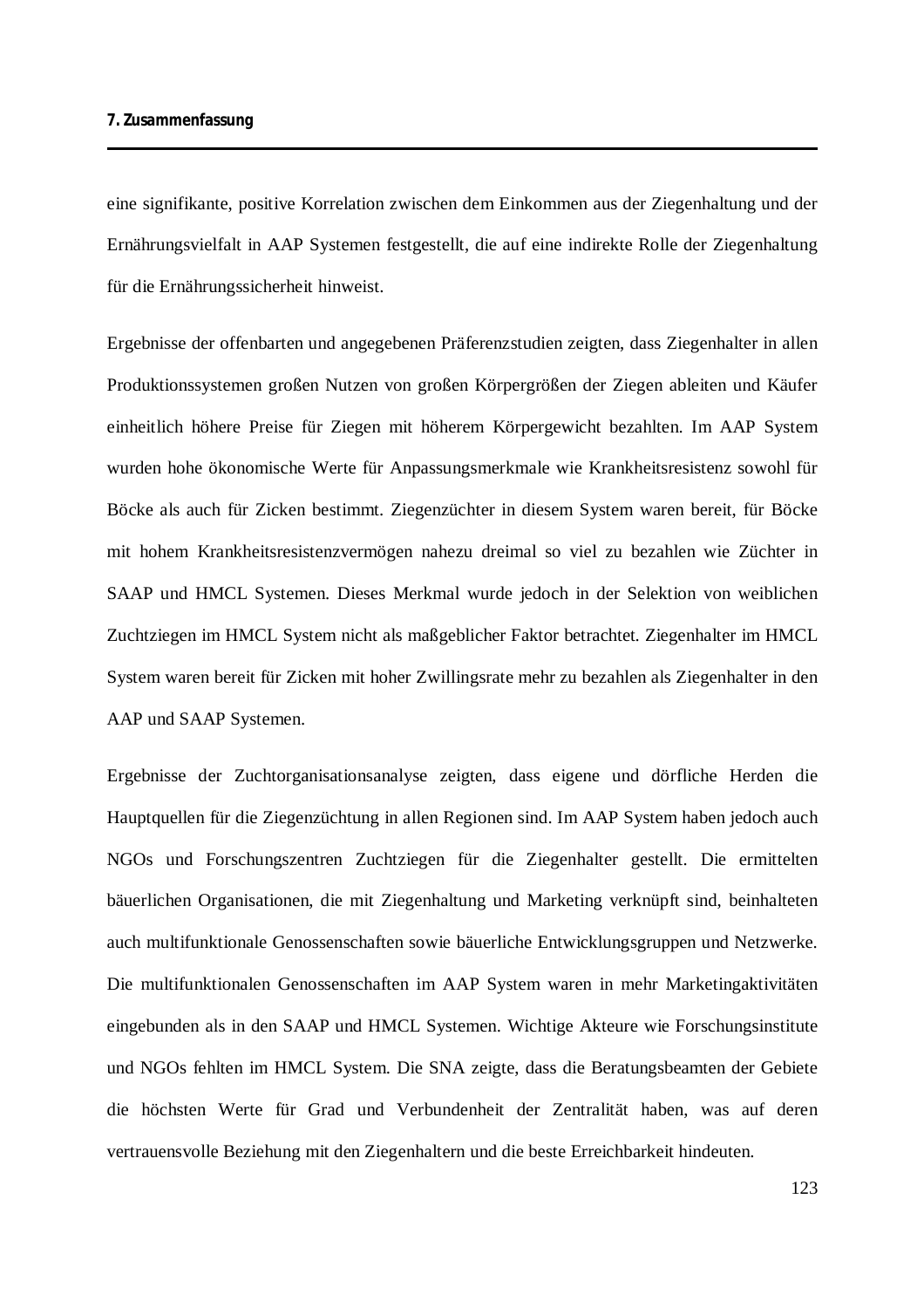eine signifikante, positive Korrelation zwischen dem Einkommen aus der Ziegenhaltung und der Ernährungsvielfalt in AAP Systemen festgestellt, die auf eine indirekte Rolle der Ziegenhaltung für die Ernährungssicherheit hinweist.

Ergebnisse der offenbarten und angegebenen Präferenzstudien zeigten, dass Ziegenhalter in allen Produktionssystemen großen Nutzen von großen Körpergrößen der Ziegen ableiten und Käufer einheitlich höhere Preise für Ziegen mit höherem Körpergewicht bezahlten. Im AAP System wurden hohe ökonomische Werte für Anpassungsmerkmale wie Krankheitsresistenz sowohl für Böcke als auch für Zicken bestimmt. Ziegenzüchter in diesem System waren bereit, für Böcke mit hohem Krankheitsresistenzvermögen nahezu dreimal so viel zu bezahlen wie Züchter in SAAP und HMCL Systemen. Dieses Merkmal wurde jedoch in der Selektion von weiblichen Zuchtziegen im HMCL System nicht als maßgeblicher Faktor betrachtet. Ziegenhalter im HMCL System waren bereit für Zicken mit hoher Zwillingsrate mehr zu bezahlen als Ziegenhalter in den AAP und SAAP Systemen.

Ergebnisse der Zuchtorganisationsanalyse zeigten, dass eigene und dörfliche Herden die Hauptquellen für die Ziegenzüchtung in allen Regionen sind. Im AAP System haben jedoch auch NGOs und Forschungszentren Zuchtziegen für die Ziegenhalter gestellt. Die ermittelten bäuerlichen Organisationen, die mit Ziegenhaltung und Marketing verknüpft sind, beinhalteten auch multifunktionale Genossenschaften sowie bäuerliche Entwicklungsgruppen und Netzwerke. Die multifunktionalen Genossenschaften im AAP System waren in mehr Marketingaktivitäten eingebunden als in den SAAP und HMCL Systemen. Wichtige Akteure wie Forschungsinstitute und NGOs fehlten im HMCL System. Die SNA zeigte, dass die Beratungsbeamten der Gebiete die höchsten Werte für Grad und Verbundenheit der Zentralität haben, was auf deren vertrauensvolle Beziehung mit den Ziegenhaltern und die beste Erreichbarkeit hindeuten.